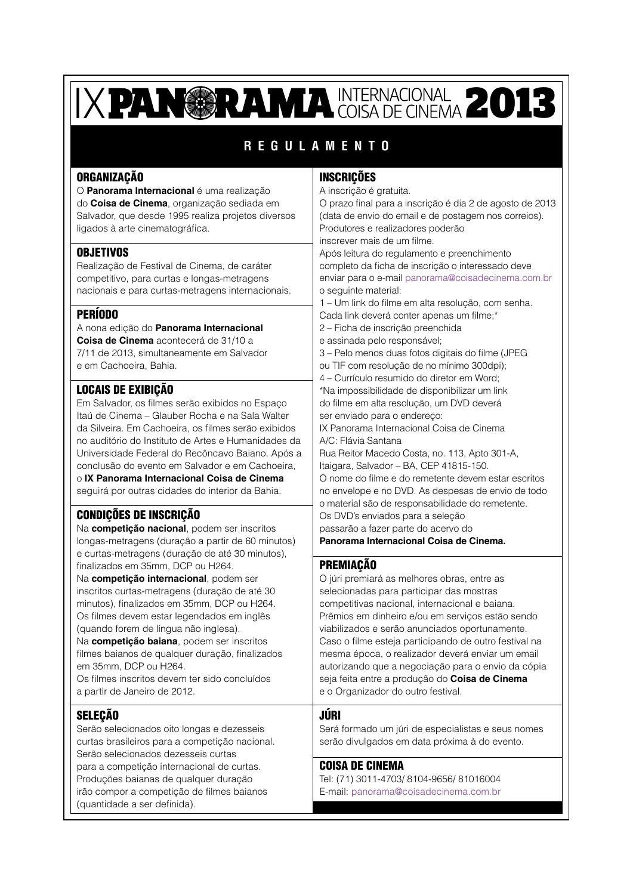# IXPANGRAMA INTERNACIONAL 2013

### **REGULAMENTO**

### ORGANIZAÇÃO

O **Panorama Internacional** é uma realização do **Coisa de Cinema**, organização sediada em Salvador, que desde 1995 realiza projetos diversos ligados à arte cinematográfica.

### **OBJETIVOS**

Realização de Festival de Cinema, de caráter competitivo, para curtas e longas-metragens nacionais e para curtas-metragens internacionais.

### PERÍODO

#### A nona edição do **Panorama Internacional Coisa de Cinema** acontecerá de 31/10 a 7/11 de 2013, simultaneamente em Salvador

e em Cachoeira, Bahia.

### LOCAIS DE EXIBIÇÃO

Em Salvador, os filmes serão exibidos no Espaço Itaú de Cinema – Glauber Rocha e na Sala Walter da Silveira. Em Cachoeira, os filmes serão exibidos no auditório do Instituto de Artes e Humanidades da Universidade Federal do Recôncavo Baiano. Após a conclusão do evento em Salvador e em Cachoeira, o **IX Panorama Internacional Coisa de Cinema**

seguirá por outras cidades do interior da Bahia.

### CONDIÇÕES DE INSCRIÇÃO

Na **competição nacional**, podem ser inscritos longas-metragens (duração a partir de 60 minutos) e curtas-metragens (duração de até 30 minutos), finalizados em 35mm, DCP ou H264.

Na **competição internacional**, podem ser inscritos curtas-metragens (duração de até 30 minutos), finalizados em 35mm, DCP ou H264. Os filmes devem estar legendados em inglês (quando forem de língua não inglesa).

Na **competição baiana**, podem ser inscritos filmes baianos de qualquer duração, finalizados em 35mm, DCP ou H264.

Os filmes inscritos devem ter sido concluídos a partir de Janeiro de 2012.

### SELEÇÃO

Serão selecionados oito longas e dezesseis curtas brasileiros para a competição nacional. Serão selecionados dezesseis curtas para a competição internacional de curtas. Produções baianas de qualquer duração irão compor a competição de filmes baianos (quantidade a ser definida).

### INSCRIÇÕES

A inscrição é gratuita. O prazo final para a inscrição é dia 2 de agosto de 2013 (data de envio do email e de postagem nos correios). Produtores e realizadores poderão inscrever mais de um filme. Após leitura do regulamento e preenchimento completo da ficha de inscrição o interessado deve enviar para o e-mail panorama@coisadecinema.com.br o seguinte material: 1 – Um link do filme em alta resolução, com senha. Cada link deverá conter apenas um filme;\* 2 – Ficha de inscrição preenchida e assinada pelo responsável; 3 – Pelo menos duas fotos digitais do filme (JPEG ou TIF com resolução de no mínimo 300dpi); 4 – Currículo resumido do diretor em Word; \*Na impossibilidade de disponibilizar um link do filme em alta resolução, um DVD deverá ser enviado para o endereço: IX Panorama Internacional Coisa de Cinema A/C: Flávia Santana Rua Reitor Macedo Costa, no. 113, Apto 301-A, Itaigara, Salvador – BA, CEP 41815-150. O nome do filme e do remetente devem estar escritos no envelope e no DVD. As despesas de envio de todo o material são de responsabilidade do remetente. Os DVD's enviados para a seleção passarão a fazer parte do acervo do

### **Panorama Internacional Coisa de Cinema.**

### PREMIAÇÃO

O júri premiará as melhores obras, entre as selecionadas para participar das mostras competitivas nacional, internacional e baiana. Prêmios em dinheiro e/ou em serviços estão sendo viabilizados e serão anunciados oportunamente. Caso o filme esteja participando de outro festival na mesma época, o realizador deverá enviar um email autorizando que a negociação para o envio da cópia seja feita entre a produção do **Coisa de Cinema** e o Organizador do outro festival.

### JÚRI

Será formado um júri de especialistas e seus nomes serão divulgados em data próxima à do evento.

#### COISA DE CINEMA

Tel: (71) 3011-4703/ 8104-9656/ 81016004 E-mail: panorama@coisadecinema.com.br